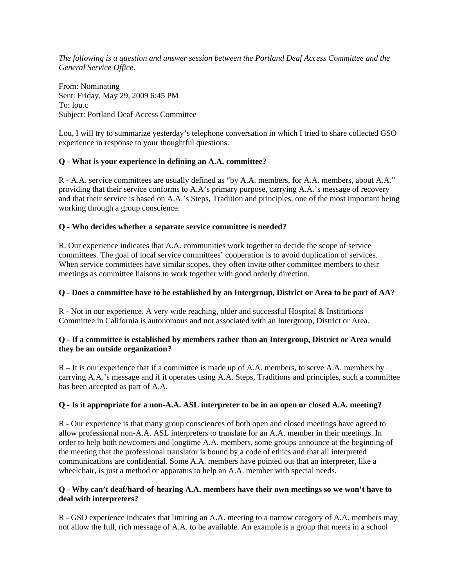*The following is a question and answer session between the Portland Deaf Access Committee and the General Service Office.* 

From: Nominating Sent: Friday, May 29, 2009 6:45 PM To: lou.c Subject: Portland Deaf Access Committee

Lou, I will try to summarize yesterday's telephone conversation in which I tried to share collected GSO experience in response to your thoughtful questions.

# **Q - What is your experience in defining an A.A. committee?**

R - A.A. service committees are usually defined as "by A.A. members, for A.A. members, about A.A." providing that their service conforms to A.A's primary purpose, carrying A.A.'s message of recovery and that their service is based on A.A.'s Steps, Tradition and principles, one of the most important being working through a group conscience.

## **Q - Who decides whether a separate service committee is needed?**

R. Our experience indicates that A.A. communities work together to decide the scope of service committees. The goal of local service committees' cooperation is to avoid duplication of services. When service committees have similar scopes, they often invite other committee members to their meetings as committee liaisons to work together with good orderly direction.

## **Q - Does a committee have to be established by an Intergroup, District or Area to be part of AA?**

R - Not in our experience. A very wide reaching, older and successful Hospital & Institutions Committee in California is autonomous and not associated with an Intergroup, District or Area.

## **Q - If a committee is established by members rather than an Intergroup, District or Area would they be an outside organization?**

R – It is our experience that if a committee is made up of A.A. members, to serve A.A. members by carrying A.A.'s message and if it operates using A.A. Steps, Traditions and principles, such a committee has been accepted as part of A.A.

## **Q - Is it appropriate for a non-A.A. ASL interpreter to be in an open or closed A.A. meeting?**

R - Our experience is that many group consciences of both open and closed meetings have agreed to allow professional non-A.A. ASL interpreters to translate for an A.A. member in their meetings. In order to help both newcomers and longtime A.A. members, some groups announce at the beginning of the meeting that the professional translator is bound by a code of ethics and that all interpreted communications are confidential. Some A.A. members have pointed out that an interpreter, like a wheelchair, is just a method or apparatus to help an A.A. member with special needs.

## **Q - Why can't deaf/hard-of-hearing A.A. members have their own meetings so we won't have to deal with interpreters?**

R - GSO experience indicates that limiting an A.A. meeting to a narrow category of A.A. members may not allow the full, rich message of A.A. to be available. An example is a group that meets in a school